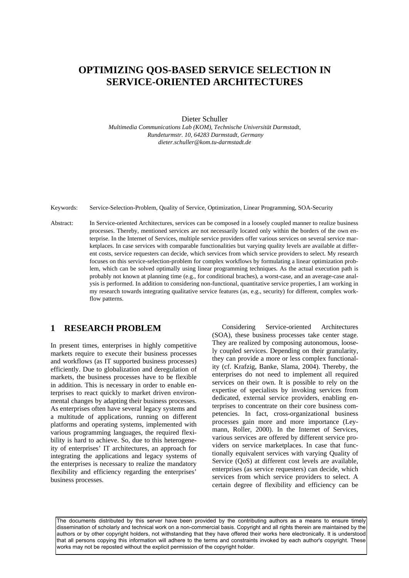# **OPTIMIZING QOS-BASED SERVICE SELECTION IN SERVICE-ORIENTED ARCHITECTURES**

Dieter Schuller

*Multimedia Communications Lab (KOM), Technische Universität Darmstadt, Rundeturmstr. 10, 64283 Darmstadt, Germany dieter.schuller@kom.tu-darmstadt.de* 

Keywords: Service-Selection-Problem, Quality of Service, Optimization, Linear Programming, SOA-Security

Abstract: In Service-oriented Architectures, services can be composed in a loosely coupled manner to realize business processes. Thereby, mentioned services are not necessarily located only within the borders of the own enterprise. In the Internet of Services, multiple service providers offer various services on several service marketplaces. In case services with comparable functionalities but varying quality levels are available at different costs, service requesters can decide, which services from which service providers to select. My research focuses on this service-selection-problem for complex workflows by formulating a linear optimization problem, which can be solved optimally using linear programming techniques. As the actual execution path is probably not known at planning time (e.g., for conditional braches), a worst-case, and an average-case analysis is performed. In addition to considering non-functional, quantitative service properties, I am working in my research towards integrating qualitative service features (as, e.g., security) for different, complex workflow patterns.

# **1 RESEARCH PROBLEM**

In present times, enterprises in highly competitive markets require to execute their business processes and workflows (as IT supported business processes) efficiently. Due to globalization and deregulation of markets, the business processes have to be flexible in addition. This is necessary in order to enable enterprises to react quickly to market driven environmental changes by adapting their business processes. As enterprises often have several legacy systems and a multitude of applications, running on different platforms and operating systems, implemented with various programming languages, the required flexibility is hard to achieve. So, due to this heterogeneity of enterprises' IT architectures, an approach for integrating the applications and legacy systems of the enterprises is necessary to realize the mandatory flexibility and efficiency regarding the enterprises' business processes.

Considering Service-oriented Architectures (SOA), these business processes take center stage. They are realized by composing autonomous, loosely coupled services. Depending on their granularity, they can provide a more or less complex functionality (cf. Krafzig, Banke, Slama, 2004). Thereby, the enterprises do not need to implement all required services on their own. It is possible to rely on the expertise of specialists by invoking services from dedicated, external service providers, enabling enterprises to concentrate on their core business competencies. In fact, cross-organizational business processes gain more and more importance (Leymann, Roller, 2000). In the Internet of Services, various services are offered by different service providers on service marketplaces. In case that functionally equivalent services with varying Quality of Service (QoS) at different cost levels are available, enterprises (as service requesters) can decide, which services from which service providers to select. A certain degree of flexibility and efficiency can be

The documents distributed by this server have been provided by the contributing authors as a means to ensure timely dissemination of scholarly and technical work on a non-commercial basis. Copyright and all rights therein are maintained by the authors or by other copyright holders, not withstanding that they have offered their works here electronically. It is understood that all persons copying this information will adhere to the terms and constraints invoked by each author's copyright. These works may not be reposted without the explicit permission of the copyright holder.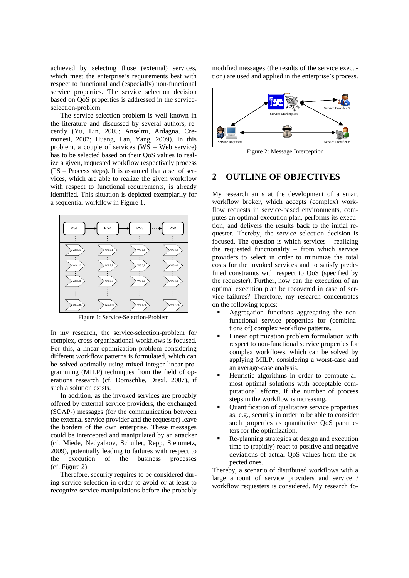achieved by selecting those (external) services, which meet the enterprise's requirements best with respect to functional and (especially) non-functional service properties. The service selection decision based on QoS properties is addressed in the serviceselection-problem.

The service-selection-problem is well known in the literature and discussed by several authors, recently (Yu, Lin, 2005; Anselmi, Ardagna, Cremonesi, 2007; Huang, Lan, Yang, 2009). In this problem, a couple of services (WS – Web service) has to be selected based on their QoS values to realize a given, requested workflow respectively process (PS – Process steps). It is assumed that a set of services, which are able to realize the given workflow with respect to functional requirements, is already identified. This situation is depicted exemplarily for a sequential workflow in Figure 1.



Figure 1: Service-Selection-Problem

In my research, the service-selection-problem for complex, cross-organizational workflows is focused. For this, a linear optimization problem considering different workflow patterns is formulated, which can be solved optimally using mixed integer linear programming (MILP) techniques from the field of operations research (cf. Domschke, Drexl, 2007), if such a solution exists.

In addition, as the invoked services are probably offered by external service providers, the exchanged (SOAP-) messages (for the communication between the external service provider and the requester) leave the borders of the own enterprise. These messages could be intercepted and manipulated by an attacker (cf. Miede, Nedyalkov, Schuller, Repp, Steinmetz, 2009), potentially leading to failures with respect to the execution of the business processes (cf. Figure 2).

Therefore, security requires to be considered during service selection in order to avoid or at least to recognize service manipulations before the probably

modified messages (the results of the service execution) are used and applied in the enterprise's process.



Figure 2: Message Interception

## **2 OUTLINE OF OBJECTIVES**

My research aims at the development of a smart workflow broker, which accepts (complex) workflow requests in service-based environments, computes an optimal execution plan, performs its execution, and delivers the results back to the initial requester. Thereby, the service selection decision is focused. The question is which services – realizing the requested functionality – from which service providers to select in order to minimize the total costs for the invoked services and to satisfy predefined constraints with respect to QoS (specified by the requester). Further, how can the execution of an optimal execution plan be recovered in case of service failures? Therefore, my research concentrates on the following topics:

- Aggregation functions aggregating the nonfunctional service properties for (combinations of) complex workflow patterns.
- Linear optimization problem formulation with respect to non-functional service properties for complex workflows, which can be solved by applying MILP, considering a worst-case and an average-case analysis.
- Heuristic algorithms in order to compute almost optimal solutions with acceptable computational efforts, if the number of process steps in the workflow is increasing.
- Quantification of qualitative service properties as, e.g., security in order to be able to consider such properties as quantitative QoS parameters for the optimization.
- Re-planning strategies at design and execution time to (rapidly) react to positive and negative deviations of actual QoS values from the expected ones.

Thereby, a scenario of distributed workflows with a large amount of service providers and service / workflow requesters is considered. My research fo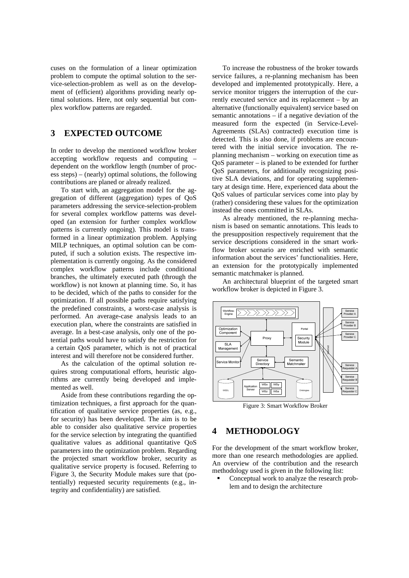cuses on the formulation of a linear optimization problem to compute the optimal solution to the service-selection-problem as well as on the development of (efficient) algorithms providing nearly optimal solutions. Here, not only sequential but complex workflow patterns are regarded.

# **3 EXPECTED OUTCOME**

In order to develop the mentioned workflow broker accepting workflow requests and computing – dependent on the workflow length (number of process steps) – (nearly) optimal solutions, the following contributions are planed or already realized.

To start with, an aggregation model for the aggregation of different (aggregation) types of QoS parameters addressing the service-selection-problem for several complex workflow patterns was developed (an extension for further complex workflow patterns is currently ongoing). This model is transformed in a linear optimization problem. Applying MILP techniques, an optimal solution can be computed, if such a solution exists. The respective implementation is currently ongoing. As the considered complex workflow patterns include conditional branches, the ultimately executed path (through the workflow) is not known at planning time. So, it has to be decided, which of the paths to consider for the optimization. If all possible paths require satisfying the predefined constraints, a worst-case analysis is performed. An average-case analysis leads to an execution plan, where the constraints are satisfied in average. In a best-case analysis, only one of the potential paths would have to satisfy the restriction for a certain QoS parameter, which is not of practical interest and will therefore not be considered further.

As the calculation of the optimal solution requires strong computational efforts, heuristic algorithms are currently being developed and implemented as well.

Aside from these contributions regarding the optimization techniques, a first approach for the quantification of qualitative service properties (as, e.g., for security) has been developed. The aim is to be able to consider also qualitative service properties for the service selection by integrating the quantified qualitative values as additional quantitative QoS parameters into the optimization problem. Regarding the projected smart workflow broker, security as qualitative service property is focused. Referring to Figure 3, the Security Module makes sure that (potentially) requested security requirements (e.g., integrity and confidentiality) are satisfied.

To increase the robustness of the broker towards service failures, a re-planning mechanism has been developed and implemented prototypically. Here, a service monitor triggers the interruption of the currently executed service and its replacement – by an alternative (functionally equivalent) service based on semantic annotations – if a negative deviation of the measured form the expected (in Service-Level-Agreements (SLAs) contracted) execution time is detected. This is also done, if problems are encountered with the initial service invocation. The replanning mechanism – working on execution time as QoS parameter – is planed to be extended for further QoS parameters, for additionally recognizing positive SLA deviations, and for operating supplementary at design time. Here, experienced data about the QoS values of particular services come into play by (rather) considering these values for the optimization instead the ones committed in SLAs.

As already mentioned, the re-planning mechanism is based on semantic annotations. This leads to the presupposition respectively requirement that the service descriptions considered in the smart workflow broker scenario are enriched with semantic information about the services' functionalities. Here, an extension for the prototypically implemented semantic matchmaker is planned.

An architectural blueprint of the targeted smart workflow broker is depicted in Figure 3.



Figure 3: Smart Workflow Broker

## **4 METHODOLOGY**

For the development of the smart workflow broker, more than one research methodologies are applied. An overview of the contribution and the research methodology used is given in the following list:

 Conceptual work to analyze the research problem and to design the architecture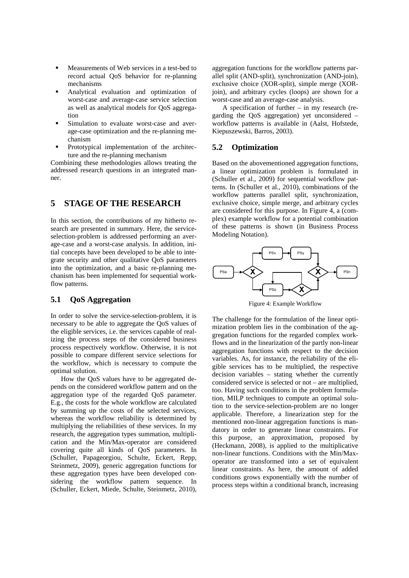- Measurements of Web services in a test-bed to record actual QoS behavior for re-planning mechanisms
- Analytical evaluation and optimization of worst-case and average-case service selection as well as analytical models for QoS aggregation
- Simulation to evaluate worst-case and average-case optimization and the re-planning mechanism
- Prototypical implementation of the architecture and the re-planning mechanism

Combining these methodologies allows treating the addressed research questions in an integrated manner.

# **5 STAGE OF THE RESEARCH**

In this section, the contributions of my hitherto research are presented in summary. Here, the serviceselection-problem is addressed performing an average-case and a worst-case analysis. In addition, initial concepts have been developed to be able to integrate security and other qualitative QoS parameters into the optimization, and a basic re-planning mechanism has been implemented for sequential workflow patterns.

### **5.1 QoS Aggregation**

In order to solve the service-selection-problem, it is necessary to be able to aggregate the QoS values of the eligible services, i.e. the services capable of realizing the process steps of the considered business process respectively workflow. Otherwise, it is not possible to compare different service selections for the workflow, which is necessary to compute the optimal solution.

How the QoS values have to be aggregated depends on the considered workflow pattern and on the aggregation type of the regarded QoS parameter. E.g., the costs for the whole workflow are calculated by summing up the costs of the selected services, whereas the workflow reliability is determined by multiplying the reliabilities of these services. In my research, the aggregation types summation, multiplication and the Min/Max-operator are considered covering quite all kinds of QoS parameters. In (Schuller, Papageorgiou, Schulte, Eckert, Repp, Steinmetz, 2009), generic aggregation functions for these aggregation types have been developed considering the workflow pattern sequence. In (Schuller, Eckert, Miede, Schulte, Steinmetz, 2010),

aggregation functions for the workflow patterns parallel split (AND-split), synchronization (AND-join), exclusive choice (XOR-split), simple merge (XORjoin), and arbitrary cycles (loops) are shown for a worst-case and an average-case analysis.

A specification of further – in my research (regarding the QoS aggregation) yet unconsidered – workflow patterns is available in (Aalst, Hofstede, Kiepuszewski, Barros, 2003).

#### **5.2 Optimization**

Based on the abovementioned aggregation functions, a linear optimization problem is formulated in (Schuller et al., 2009) for sequential workflow patterns. In (Schuller et al., 2010), combinations of the workflow patterns parallel split, synchronization, exclusive choice, simple merge, and arbitrary cycles are considered for this purpose. In Figure 4, a (complex) example workflow for a potential combination of these patterns is shown (in Business Process Modeling Notation).



Figure 4: Example Workflow

The challenge for the formulation of the linear optimization problem lies in the combination of the aggregation functions for the regarded complex workflows and in the linearization of the partly non-linear aggregation functions with respect to the decision variables. As, for instance, the reliability of the eligible services has to be multiplied, the respective decision variables – stating whether the currently considered service is selected or not – are multiplied, too. Having such conditions in the problem formulation, MILP techniques to compute an optimal solution to the service-selection-problem are no longer applicable. Therefore, a linearization step for the mentioned non-linear aggregation functions is mandatory in order to generate linear constraints. For this purpose, an approximation, proposed by (Heckmann, 2008), is applied to the multiplicative non-linear functions. Conditions with the Min/Maxoperator are transformed into a set of equivalent linear constraints. As here, the amount of added conditions grows exponentially with the number of process steps within a conditional branch, increasing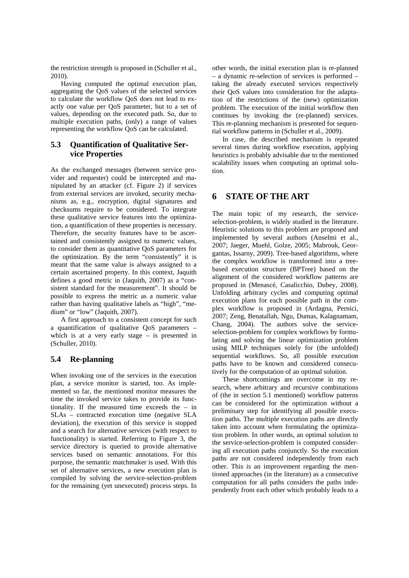the restriction strength is proposed in (Schuller et al., 2010).

Having computed the optimal execution plan, aggregating the QoS values of the selected services to calculate the workflow QoS does not lead to exactly one value per QoS parameter, but to a set of values, depending on the executed path. So, due to multiple execution paths, (only) a range of values representing the workflow QoS can be calculated.

#### **5.3 Quantification of Qualitative Service Properties**

As the exchanged messages (between service provider and requester) could be intercepted and manipulated by an attacker (cf. Figure 2) if services from external services are invoked, security mechanisms as, e.g., encryption, digital signatures and checksums require to be considered. To integrate these qualitative service features into the optimization, a quantification of these properties is necessary. Therefore, the security features have to be ascertained and consistently assigned to numeric values, to consider them as quantitative QoS parameters for the optimization. By the term "consistently" it is meant that the same value is always assigned to a certain ascertained property. In this context, Jaquith defines a good metric in (Jaquith, 2007) as a "consistent standard for the measurement". It should be possible to express the metric as a numeric value rather than having qualitative labels as "high", "medium" or "low" (Jaquith, 2007).

A first approach to a consistent concept for such a quantification of qualitative QoS parameters – which is at a very early stage – is presented in (Schuller, 2010).

### **5.4 Re-planning**

When invoking one of the services in the execution plan, a service monitor is started, too. As implemented so far, the mentioned monitor measures the time the invoked service takes to provide its functionality. If the measured time exceeds the – in SLAs – contracted execution time (negative SLA deviation), the execution of this service is stopped and a search for alternative services (with respect to functionality) is started. Referring to Figure 3, the service directory is queried to provide alternative services based on semantic annotations. For this purpose, the semantic matchmaker is used. With this set of alternative services, a new execution plan is compiled by solving the service-selection-problem for the remaining (yet unexecuted) process steps. In other words, the initial execution plan is re-planned – a dynamic re-selection of services is performed – taking the already executed services respectively their QoS values into consideration for the adaptation of the restrictions of the (new) optimization problem. The execution of the initial workflow then continues by invoking the (re-planned) services. This re-planning mechanism is presented for sequential workflow patterns in (Schuller et al., 2009).

In case, the described mechanism is repeated several times during workflow execution, applying heuristics is probably advisable due to the mentioned scalability issues when computing an optimal solution.

# **6 STATE OF THE ART**

The main topic of my research, the serviceselection-problem, is widely studied in the literature. Heuristic solutions to this problem are proposed and implemented by several authors (Anselmi et al., 2007; Jaeger, Muehl, Golze, 2005; Mabrouk, Georgantas, Issarny, 2009). Tree-based algorithms, where the complex workflow is transformed into a treebased execution structure (BPTree) based on the alignment of the considered workflow patterns are proposed in (Menascé, Casalicchio, Dubey, 2008). Unfolding arbitrary cycles and computing optimal execution plans for each possible path in the complex workflow is proposed in (Ardagna, Pernici, 2007; Zeng, Benatallah, Ngu, Dumas, Kalagnamam, Chang, 2004). The authors solve the serviceselection-problem for complex workflows by formulating and solving the linear optimization problem using MILP techniques solely for (the unfolded) sequential workflows. So, all possible execution paths have to be known and considered consecutively for the computation of an optimal solution.

These shortcomings are overcome in my research, where arbitrary and recursive combinations of (the in section 5.1 mentioned) workflow patterns can be considered for the optimization without a preliminary step for identifying all possible execution paths. The multiple execution paths are directly taken into account when formulating the optimization problem. In other words, an optimal solution to the service-selection-problem is computed considering all execution paths conjunctly. So the execution paths are not considered independently from each other. This is an improvement regarding the mentioned approaches (in the literature) as a consecutive computation for all paths considers the paths independently from each other which probably leads to a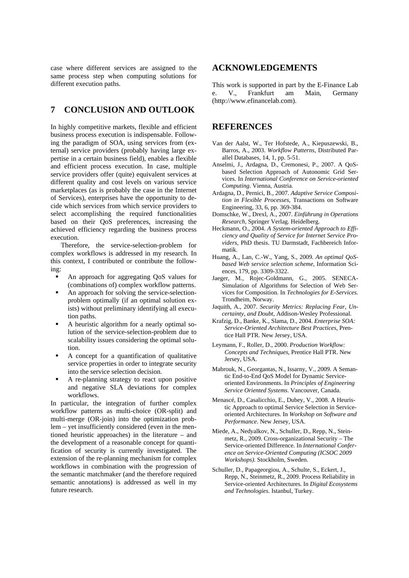case where different services are assigned to the same process step when computing solutions for different execution paths.

# **7 CONCLUSION AND OUTLOOK**

In highly competitive markets, flexible and efficient business process execution is indispensable. Following the paradigm of SOA, using services from (external) service providers (probably having large expertise in a certain business field), enables a flexible and efficient process execution. In case, multiple service providers offer (quite) equivalent services at different quality and cost levels on various service marketplaces (as is probably the case in the Internet of Services), enterprises have the opportunity to decide which services from which service providers to select accomplishing the required functionalities based on their QoS preferences, increasing the achieved efficiency regarding the business process execution.

Therefore, the service-selection-problem for complex workflows is addressed in my research. In this context, I contributed or contribute the following:

- An approach for aggregating QoS values for (combinations of) complex workflow patterns.
- An approach for solving the service-selectionproblem optimally (if an optimal solution exists) without preliminary identifying all execution paths.
- A heuristic algorithm for a nearly optimal solution of the service-selection-problem due to scalability issues considering the optimal solution.
- A concept for a quantification of qualitative service properties in order to integrate security into the service selection decision.
- A re-planning strategy to react upon positive and negative SLA deviations for complex workflows.

In particular, the integration of further complex workflow patterns as multi-choice (OR-split) and multi-merge (OR-join) into the optimization problem – yet insufficiently considered (even in the mentioned heuristic approaches) in the literature – and the development of a reasonable concept for quantification of security is currently investigated. The extension of the re-planning mechanism for complex workflows in combination with the progression of the semantic matchmaker (and the therefore required semantic annotations) is addressed as well in my future research.

# **ACKNOWLEDGEMENTS**

This work is supported in part by the E-Finance Lab e. V., Frankfurt am Main, Germany (http://www.efinancelab.com).

# **REFERENCES**

- Van der Aalst, W., Ter Hofstede, A., Kiepuszewski, B., Barros, A., 2003. *Workflow Patterns*, Distributed Parallel Databases, 14, 1, pp. 5-51.
- Anselmi, J., Ardagna, D., Cremonesi, P., 2007. A QoSbased Selection Approach of Autonomic Grid Services. In *International Conference on Service-oriented Computing*. Vienna, Austria.
- Ardagna, D., Pernici, B., 2007. *Adaptive Service Composition in Flexible Processes*, Transactions on Software Engineering, 33, 6, pp. 369-384.
- Domschke, W., Drexl, A., 2007. *Einführung in Operations Research*, Springer Verlag. Heidelberg.
- Heckmann, O., 2004. *A System-oriented Approach to Efficiency and Quality of Service for Internet Service Providers*, PhD thesis. TU Darmstadt, Fachbereich Informatik.
- Huang, A., Lan, C.-W., Yang, S., 2009. *An optimal QoSbased Web service selection scheme,* Information Sciences, 179, pp. 3309-3322.
- Jaeger, M., Rojec-Goldmann, G., 2005. SENECA-Simulation of Algorithms for Selection of Web Services for Composition. In *Technologies for E-Services.* Trondheim, Norway.
- Jaquith, A., 2007. *Security Metrics: Replacing Fear, Uncertainty, and Doubt*, Addison-Wesley Professional.
- Krafzig, D., Banke, K., Slama, D., 2004. *Enterprise SOA: Service-Oriented Architecture Best Practices*, Prentice Hall PTR. New Jersey, USA.
- Leymann, F., Roller, D., 2000. *Production Workflow: Concepts and Techniques*, Prentice Hall PTR. New Jersey, USA.
- Mabrouk, N., Georgantas, N., Issarny, V., 2009. A Semantic End-to-End QoS Model for Dynamic Serviceoriented Environments. In *Principles of Engineering Service Oriented Systems*. Vancouver, Canada.
- Menascé, D., Casalicchio, E., Dubey, V., 2008. A Heuristic Approach to optimal Service Selection in Serviceoriented Architectures. In *Workshop on Software and Performance*. New Jersey, USA.
- Miede, A., Nedyalkov, N., Schuller, D., Repp, N., Steinmetz, R., 2009. Cross-organizational Security – The Service-oriented Difference. In *International Conference on Service-Oriented Computing (ICSOC 2009 Workshops).* Stockholm, Sweden.
- Schuller, D., Papageorgiou, A., Schulte, S., Eckert, J., Repp, N., Steinmetz, R., 2009. Process Reliability in Service-oriented Architectures. In *Digital Ecosystems and Technologies*. Istanbul, Turkey.